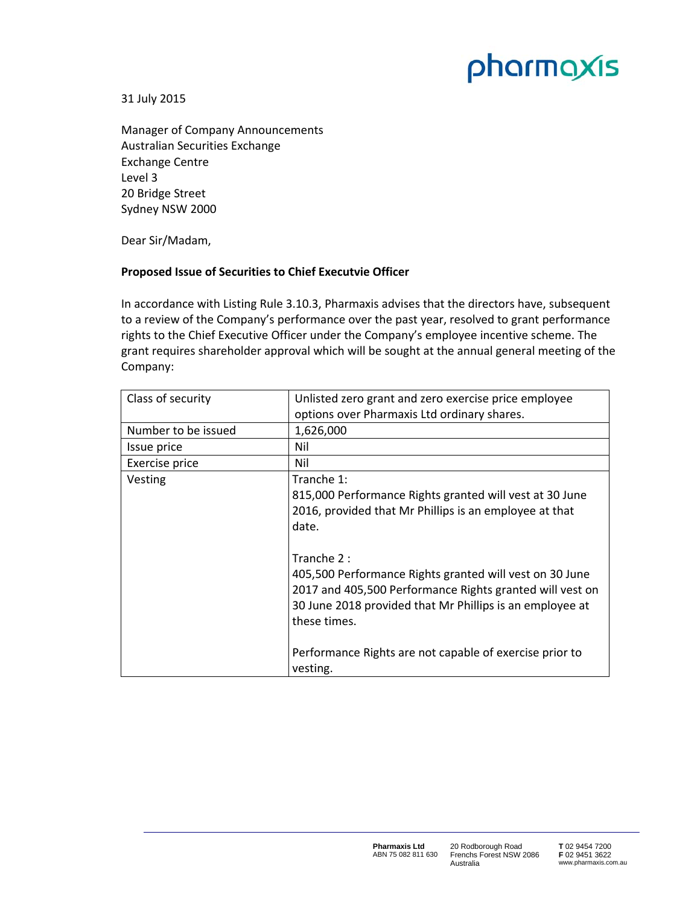## pharmaxis

31 July 2015

Manager of Company Announcements Australian Securities Exchange Exchange Centre Level 3 20 Bridge Street Sydney NSW 2000

Dear Sir/Madam,

## **Proposed Issue of Securities to Chief Executvie Officer**

In accordance with Listing Rule 3.10.3, Pharmaxis advises that the directors have, subsequent to a review of the Company's performance over the past year, resolved to grant performance rights to the Chief Executive Officer under the Company's employee incentive scheme. The grant requires shareholder approval which will be sought at the annual general meeting of the Company:

| Class of security   | Unlisted zero grant and zero exercise price employee     |
|---------------------|----------------------------------------------------------|
|                     | options over Pharmaxis Ltd ordinary shares.              |
| Number to be issued | 1,626,000                                                |
| Issue price         | Nil                                                      |
| Exercise price      | Nil                                                      |
| Vesting             | Tranche 1:                                               |
|                     | 815,000 Performance Rights granted will vest at 30 June  |
|                     | 2016, provided that Mr Phillips is an employee at that   |
|                     | date.                                                    |
|                     |                                                          |
|                     | Tranche $2:$                                             |
|                     | 405,500 Performance Rights granted will vest on 30 June  |
|                     | 2017 and 405,500 Performance Rights granted will vest on |
|                     | 30 June 2018 provided that Mr Phillips is an employee at |
|                     | these times.                                             |
|                     |                                                          |
|                     | Performance Rights are not capable of exercise prior to  |
|                     | vesting.                                                 |